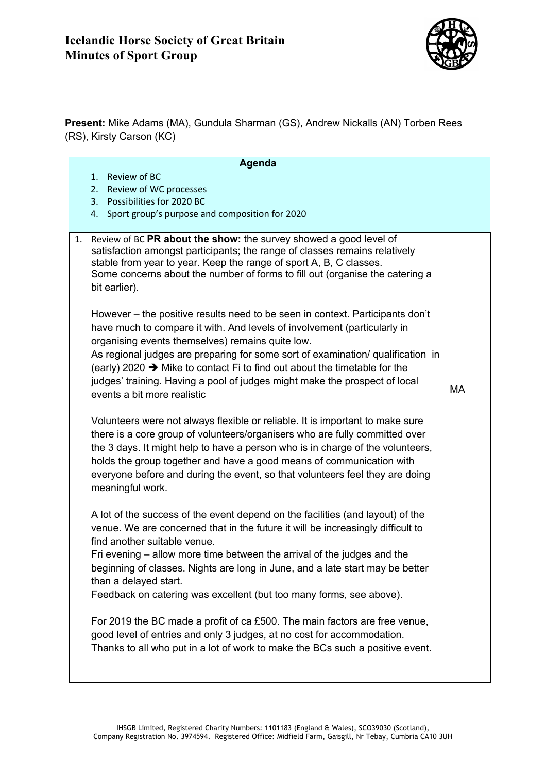

**Present:** Mike Adams (MA), Gundula Sharman (GS), Andrew Nickalls (AN) Torben Rees (RS), Kirsty Carson (KC)

## **Agenda**

- 1. Review of BC
- 2. Review of WC processes
- 3. Possibilities for 2020 BC
- 4. Sport group's purpose and composition for 2020

| 1. | Review of BC PR about the show: the survey showed a good level of<br>satisfaction amongst participants; the range of classes remains relatively<br>stable from year to year. Keep the range of sport A, B, C classes.<br>Some concerns about the number of forms to fill out (organise the catering a<br>bit earlier).                                                                                                                                                                                 |    |
|----|--------------------------------------------------------------------------------------------------------------------------------------------------------------------------------------------------------------------------------------------------------------------------------------------------------------------------------------------------------------------------------------------------------------------------------------------------------------------------------------------------------|----|
|    | However – the positive results need to be seen in context. Participants don't<br>have much to compare it with. And levels of involvement (particularly in<br>organising events themselves) remains quite low.<br>As regional judges are preparing for some sort of examination/ qualification in<br>(early) 2020 $\rightarrow$ Mike to contact Fi to find out about the timetable for the<br>judges' training. Having a pool of judges might make the prospect of local<br>events a bit more realistic | МA |
|    | Volunteers were not always flexible or reliable. It is important to make sure<br>there is a core group of volunteers/organisers who are fully committed over<br>the 3 days. It might help to have a person who is in charge of the volunteers,<br>holds the group together and have a good means of communication with<br>everyone before and during the event, so that volunteers feel they are doing<br>meaningful work.                                                                             |    |
|    | A lot of the success of the event depend on the facilities (and layout) of the<br>venue. We are concerned that in the future it will be increasingly difficult to<br>find another suitable venue.<br>Fri evening – allow more time between the arrival of the judges and the<br>beginning of classes. Nights are long in June, and a late start may be better<br>than a delayed start.                                                                                                                 |    |
|    | Feedback on catering was excellent (but too many forms, see above).<br>For 2019 the BC made a profit of ca £500. The main factors are free venue,<br>good level of entries and only 3 judges, at no cost for accommodation.<br>Thanks to all who put in a lot of work to make the BCs such a positive event.                                                                                                                                                                                           |    |